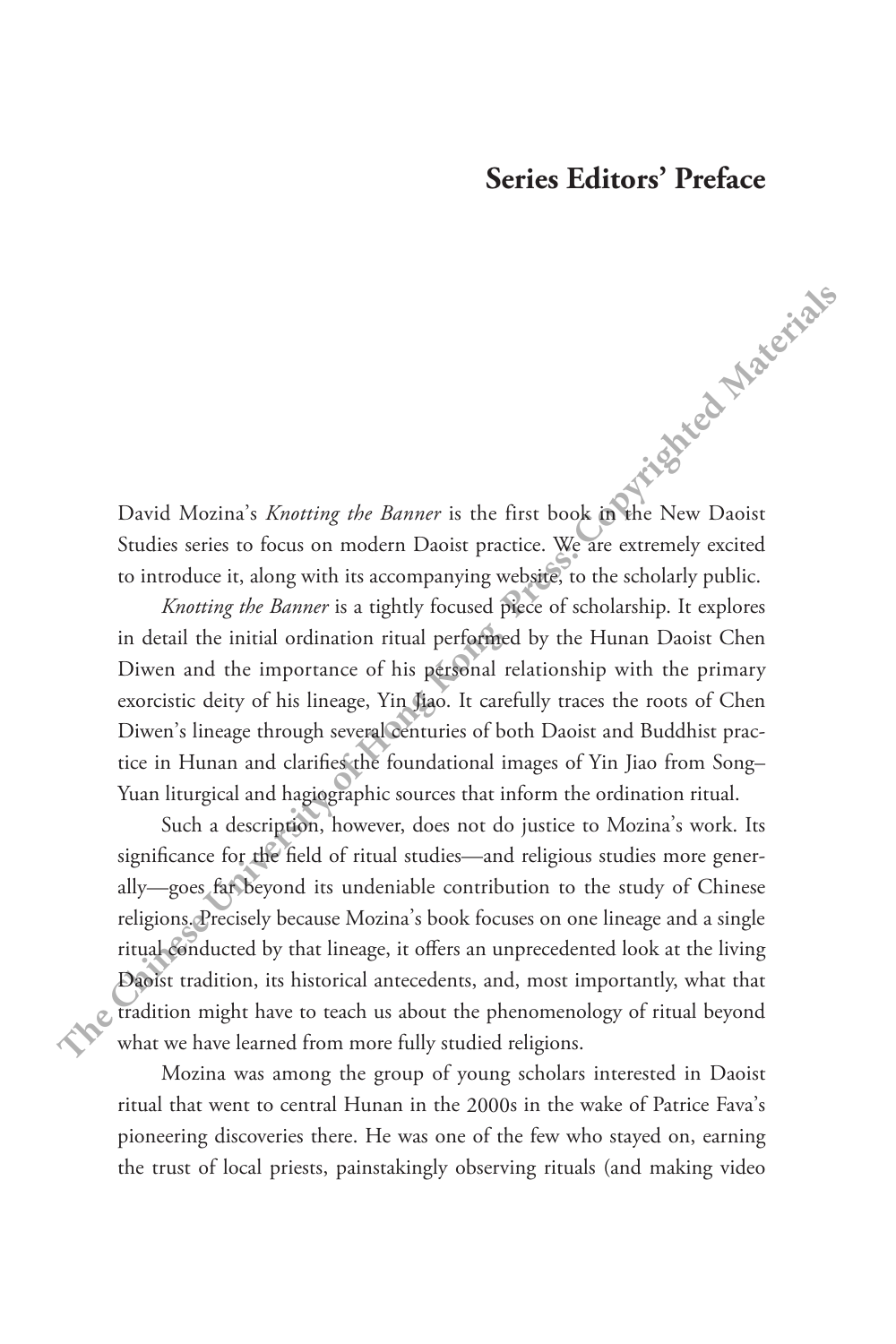## **Series Editors' Preface**

David Mozina's *Knotting the Banner* is the first book in the New Daoist Studies series to focus on modern Daoist practice. We are extremely excited to introduce it, along with its accompanying website, to the scholarly public.

*Knotting the Banner* is a tightly focused piece of scholarship. It explores in detail the initial ordination ritual performed by the Hunan Daoist Chen Diwen and the importance of his personal relationship with the primary exorcistic deity of his lineage, Yin Jiao. It carefully traces the roots of Chen Diwen's lineage through several centuries of both Daoist and Buddhist practice in Hunan and clarifies the foundational images of Yin Jiao from Song– Yuan liturgical and hagiographic sources that inform the ordination ritual.

Such a description, however, does not do justice to Mozina's work. Its significance for the field of ritual studies—and religious studies more generally—goes far beyond its undeniable contribution to the study of Chinese religions. Precisely because Mozina's book focuses on one lineage and a single ritual conducted by that lineage, it offers an unprecedented look at the living Daoist tradition, its historical antecedents, and, most importantly, what that tradition might have to teach us about the phenomenology of ritual beyond what we have learned from more fully studied religions. David Mozina's *Knotting the Banner* is the first book **O** the New Daoist Sudies series to focus on modern Daoist practice. We are extremely excited to introduce it, along with its accompanying webgics, to the sholarly pu

> Mozina was among the group of young scholars interested in Daoist ritual that went to central Hunan in the 2000s in the wake of Patrice Fava's pioneering discoveries there. He was one of the few who stayed on, earning the trust of local priests, painstakingly observing rituals (and making video